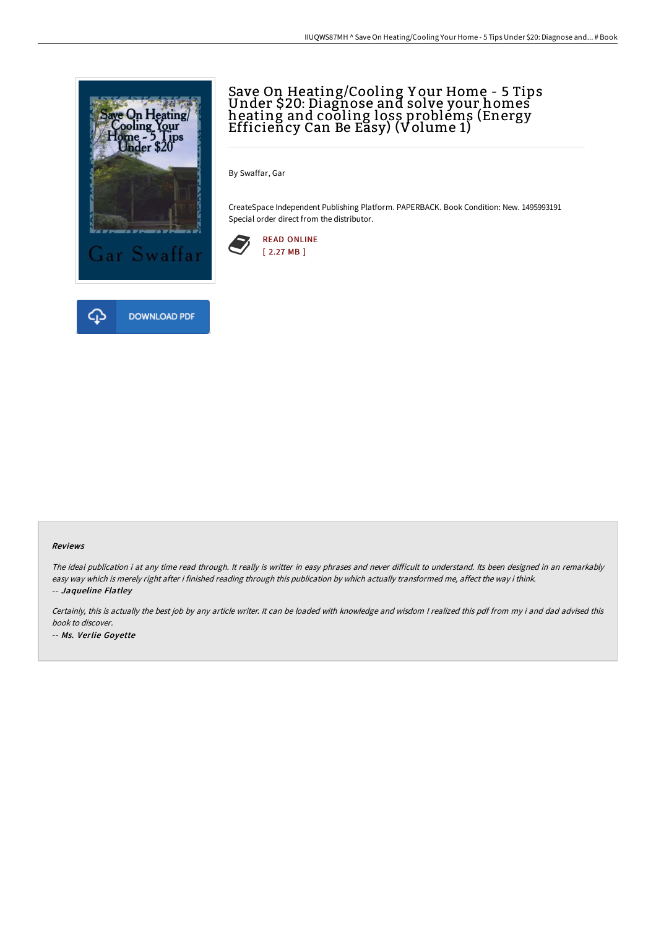

# Save On Heating/Cooling Y our Home - 5 Tips Under \$20: Diagnose and solve your homes heating and cooling loss problems (Energy Efficiency Can Be Easy) (Volume 1)

By Swaffar, Gar

CreateSpace Independent Publishing Platform. PAPERBACK. Book Condition: New. 1495993191 Special order direct from the distributor.



#### Reviews

The ideal publication i at any time read through. It really is writter in easy phrases and never difficult to understand. Its been designed in an remarkably easy way which is merely right after i finished reading through this publication by which actually transformed me, affect the way i think. -- Jaqueline Flatley

Certainly, this is actually the best job by any article writer. It can be loaded with knowledge and wisdom <sup>I</sup> realized this pdf from my i and dad advised this book to discover. -- Ms. Verlie Goyette